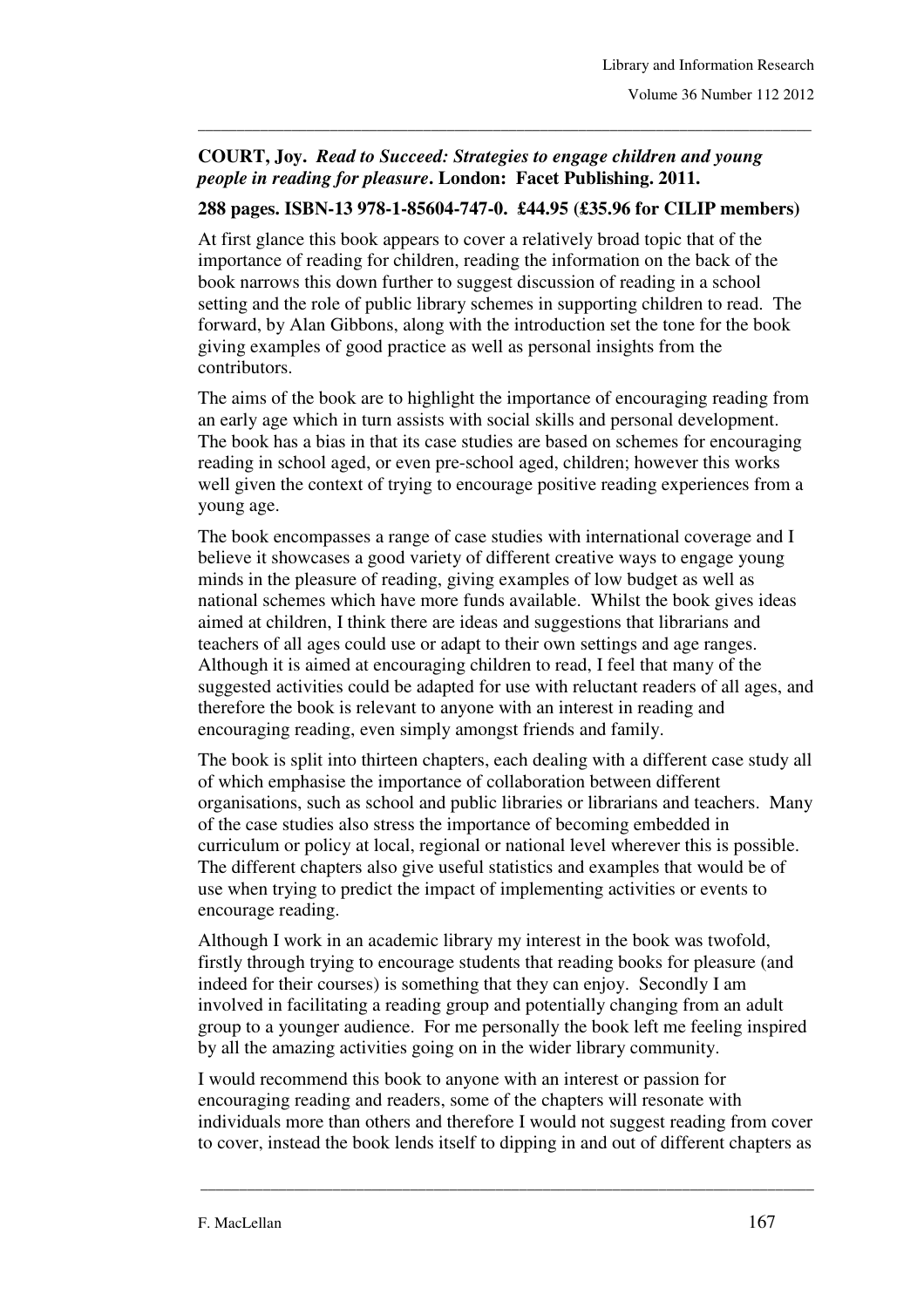## **COURT, Joy.** *Read to Succeed: Strategies to engage children and young people in reading for pleasure***. London: Facet Publishing. 2011.**

## **288 pages. ISBN-13 978-1-85604-747-0. £44.95 (£35.96 for CILIP members)**

\_\_\_\_\_\_\_\_\_\_\_\_\_\_\_\_\_\_\_\_\_\_\_\_\_\_\_\_\_\_\_\_\_\_\_\_\_\_\_\_\_\_\_\_\_\_\_\_\_\_\_\_\_\_\_\_\_\_\_\_\_\_\_\_\_\_\_\_\_\_\_\_\_\_\_\_\_\_\_

At first glance this book appears to cover a relatively broad topic that of the importance of reading for children, reading the information on the back of the book narrows this down further to suggest discussion of reading in a school setting and the role of public library schemes in supporting children to read. The forward, by Alan Gibbons, along with the introduction set the tone for the book giving examples of good practice as well as personal insights from the contributors.

The aims of the book are to highlight the importance of encouraging reading from an early age which in turn assists with social skills and personal development. The book has a bias in that its case studies are based on schemes for encouraging reading in school aged, or even pre-school aged, children; however this works well given the context of trying to encourage positive reading experiences from a young age.

The book encompasses a range of case studies with international coverage and I believe it showcases a good variety of different creative ways to engage young minds in the pleasure of reading, giving examples of low budget as well as national schemes which have more funds available. Whilst the book gives ideas aimed at children, I think there are ideas and suggestions that librarians and teachers of all ages could use or adapt to their own settings and age ranges. Although it is aimed at encouraging children to read, I feel that many of the suggested activities could be adapted for use with reluctant readers of all ages, and therefore the book is relevant to anyone with an interest in reading and encouraging reading, even simply amongst friends and family.

The book is split into thirteen chapters, each dealing with a different case study all of which emphasise the importance of collaboration between different organisations, such as school and public libraries or librarians and teachers. Many of the case studies also stress the importance of becoming embedded in curriculum or policy at local, regional or national level wherever this is possible. The different chapters also give useful statistics and examples that would be of use when trying to predict the impact of implementing activities or events to encourage reading.

Although I work in an academic library my interest in the book was twofold, firstly through trying to encourage students that reading books for pleasure (and indeed for their courses) is something that they can enjoy. Secondly I am involved in facilitating a reading group and potentially changing from an adult group to a younger audience. For me personally the book left me feeling inspired by all the amazing activities going on in the wider library community.

I would recommend this book to anyone with an interest or passion for encouraging reading and readers, some of the chapters will resonate with individuals more than others and therefore I would not suggest reading from cover to cover, instead the book lends itself to dipping in and out of different chapters as

\_\_\_\_\_\_\_\_\_\_\_\_\_\_\_\_\_\_\_\_\_\_\_\_\_\_\_\_\_\_\_\_\_\_\_\_\_\_\_\_\_\_\_\_\_\_\_\_\_\_\_\_\_\_\_\_\_\_\_\_\_\_\_\_\_\_\_\_\_\_\_\_\_\_\_\_\_\_\_